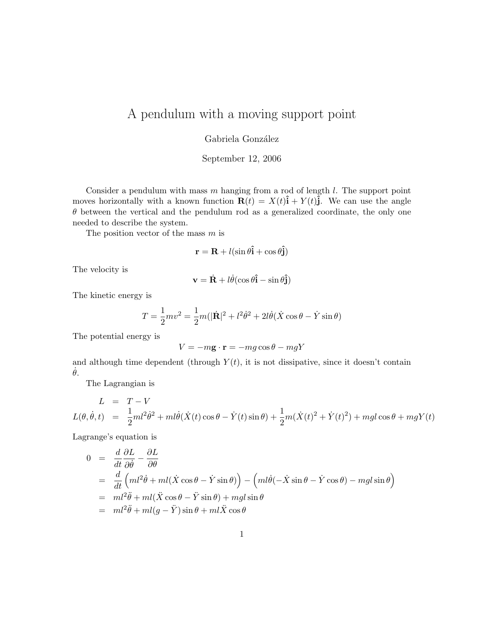# A pendulum with a moving support point

Gabriela González

September 12, 2006

Consider a pendulum with mass  $m$  hanging from a rod of length  $l$ . The support point moves horizontally with a known function  $\mathbf{R}(t) = X(t)\hat{\mathbf{i}} + Y(t)\hat{\mathbf{j}}$ . We can use the angle  $\theta$  between the vertical and the pendulum rod as a generalized coordinate, the only one needed to describe the system.

The position vector of the mass  $m$  is

$$
\mathbf{r} = \mathbf{R} + l(\sin\theta \hat{\mathbf{i}} + \cos\theta \hat{\mathbf{j}})
$$

The velocity is

$$
\mathbf{v} = \dot{\mathbf{R}} + l\dot{\theta}(\cos\theta \hat{\mathbf{i}} - \sin\theta \hat{\mathbf{j}})
$$

The kinetic energy is

$$
T = \frac{1}{2}mv^2 = \frac{1}{2}m(|\dot{\mathbf{R}}|^2 + l^2\dot{\theta}^2 + 2l\dot{\theta}(\dot{X}\cos\theta - \dot{Y}\sin\theta)
$$

The potential energy is

$$
V = -m\mathbf{g} \cdot \mathbf{r} = -mg\cos\theta - mgY
$$

and although time dependent (through  $Y(t)$ , it is not dissipative, since it doesn't contain  $\dot{\theta}$ .

The Lagrangian is

$$
L = T - V
$$
  
\n
$$
L(\theta, \dot{\theta}, t) = \frac{1}{2}ml^2\dot{\theta}^2 + ml\dot{\theta}(\dot{X}(t)\cos\theta - \dot{Y}(t)\sin\theta) + \frac{1}{2}m(\dot{X}(t)^2 + \dot{Y}(t)^2) + mgl\cos\theta + mgY(t)
$$

Lagrange's equation is

$$
0 = \frac{d}{dt} \frac{\partial L}{\partial \dot{\theta}} - \frac{\partial L}{\partial \theta}
$$
  
= 
$$
\frac{d}{dt} \left( ml^2 \dot{\theta} + ml(\dot{X} \cos \theta - \dot{Y} \sin \theta) \right) - \left( ml \dot{\theta} \left( -\dot{X} \sin \theta - \dot{Y} \cos \theta \right) - mgl \sin \theta \right)
$$
  
= 
$$
ml^2 \ddot{\theta} + ml(\ddot{X} \cos \theta - \ddot{Y} \sin \theta) + mgl \sin \theta
$$
  
= 
$$
ml^2 \ddot{\theta} + ml(g - \ddot{Y}) \sin \theta + ml \ddot{X} \cos \theta
$$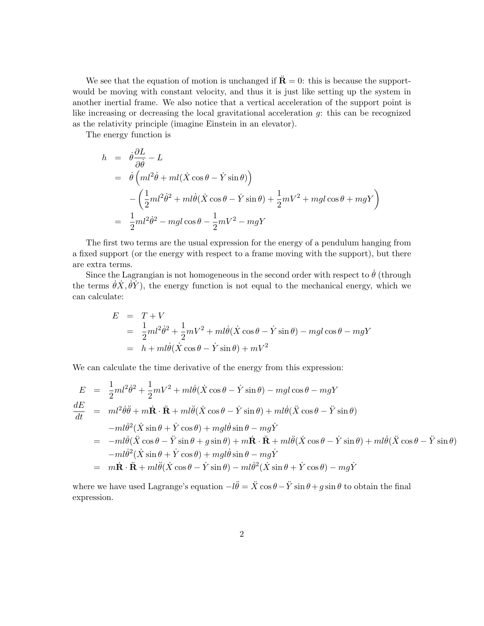We see that the equation of motion is unchanged if  $\ddot{\mathbf{R}} = 0$ : this is because the supportwould be moving with constant velocity, and thus it is just like setting up the system in another inertial frame. We also notice that a vertical acceleration of the support point is like increasing or decreasing the local gravitational acceleration g: this can be recognized as the relativity principle (imagine Einstein in an elevator).

The energy function is

$$
h = \dot{\theta} \frac{\partial L}{\partial \dot{\theta}} - L
$$
  
=  $\dot{\theta} \left( ml^2 \dot{\theta} + ml(\dot{X} \cos \theta - \dot{Y} \sin \theta) \right)$   
 $-\left( \frac{1}{2} ml^2 \dot{\theta}^2 + ml \dot{\theta} (\dot{X} \cos \theta - \dot{Y} \sin \theta) + \frac{1}{2} mV^2 + mgl \cos \theta + mgY \right)$   
=  $\frac{1}{2} ml^2 \dot{\theta}^2 - mgl \cos \theta - \frac{1}{2} mV^2 - mgY$ 

The first two terms are the usual expression for the energy of a pendulum hanging from a fixed support (or the energy with respect to a frame moving with the support), but there are extra terms.

Since the Lagrangian is not homogeneous in the second order with respect to  $\dot{\theta}$  (through the terms  $\dot{\theta} \dot{X}, \dot{\theta} \dot{Y}$ , the energy function is not equal to the mechanical energy, which we can calculate:

$$
E = T + V
$$
  
=  $\frac{1}{2}ml^2\dot{\theta}^2 + \frac{1}{2}mV^2 + ml\dot{\theta}(\dot{X}\cos\theta - \dot{Y}\sin\theta) - mgl\cos\theta - mgY$   
=  $h + ml\dot{\theta}(\dot{X}\cos\theta - \dot{Y}\sin\theta) + mV^2$ 

We can calculate the time derivative of the energy from this expression:

$$
E = \frac{1}{2}ml^2\dot{\theta}^2 + \frac{1}{2}mV^2 + ml\dot{\theta}(\dot{X}\cos\theta - \dot{Y}\sin\theta) - mgl\cos\theta - mgY
$$
  
\n
$$
\frac{dE}{dt} = ml^2\dot{\theta}\ddot{\theta} + m\dot{\mathbf{R}}\cdot\ddot{\mathbf{R}} + ml\ddot{\theta}(\dot{X}\cos\theta - \dot{Y}\sin\theta) + ml\dot{\theta}(\ddot{X}\cos\theta - \ddot{Y}\sin\theta)
$$
  
\n
$$
-ml\dot{\theta}^2(\dot{X}\sin\theta + \dot{Y}\cos\theta) + mgl\dot{\theta}\sin\theta - mg\dot{Y}
$$
  
\n
$$
= -ml\dot{\theta}(\ddot{X}\cos\theta - \ddot{Y}\sin\theta + g\sin\theta) + m\dot{\mathbf{R}}\cdot\ddot{\mathbf{R}} + ml\ddot{\theta}(\dot{X}\cos\theta - \dot{Y}\sin\theta) + ml\dot{\theta}(\ddot{X}\cos\theta - \ddot{Y}\sin\theta)
$$
  
\n
$$
-ml\dot{\theta}^2(\dot{X}\sin\theta + \dot{Y}\cos\theta) + mgl\dot{\theta}\sin\theta - mg\dot{Y}
$$
  
\n
$$
= m\dot{\mathbf{R}}\cdot\ddot{\mathbf{R}} + ml\ddot{\theta}(\dot{X}\cos\theta - \dot{Y}\sin\theta) - ml\dot{\theta}^2(\dot{X}\sin\theta + \dot{Y}\cos\theta) - mg\dot{Y}
$$

where we have used Lagrange's equation  $-l\ddot{\theta} = \ddot{X} \cos \theta - \ddot{Y} \sin \theta + g \sin \theta$  to obtain the final expression.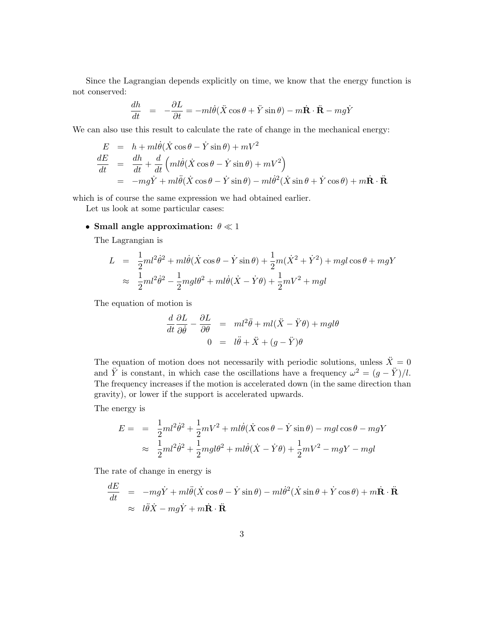Since the Lagrangian depends explicitly on time, we know that the energy function is not conserved:

$$
\frac{dh}{dt} = -\frac{\partial L}{\partial t} = -ml\dot{\theta}(\ddot{X}\cos\theta + \ddot{Y}\sin\theta) - m\dot{\mathbf{R}}\cdot\ddot{\mathbf{R}} - mg\dot{Y}
$$

We can also use this result to calculate the rate of change in the mechanical energy:

$$
E = h + ml\dot{\theta}(\dot{X}\cos\theta - \dot{Y}\sin\theta) + mV^2
$$
  
\n
$$
\frac{dE}{dt} = \frac{dh}{dt} + \frac{d}{dt}\left(ml\dot{\theta}(\dot{X}\cos\theta - \dot{Y}\sin\theta) + mV^2\right)
$$
  
\n
$$
= -mg\dot{Y} + ml\ddot{\theta}(\dot{X}\cos\theta - \dot{Y}\sin\theta) - ml\dot{\theta}^2(\dot{X}\sin\theta + \dot{Y}\cos\theta) + m\dot{\mathbf{R}}\cdot\ddot{\mathbf{R}}
$$

which is of course the same expression we had obtained earlier.

Let us look at some particular cases:

### • Small angle approximation:  $\theta \ll 1$

The Lagrangian is

$$
L = \frac{1}{2}ml^2\dot{\theta}^2 + ml\dot{\theta}(\dot{X}\cos\theta - \dot{Y}\sin\theta) + \frac{1}{2}m(\dot{X}^2 + \dot{Y}^2) + mgl\cos\theta + mgY
$$
  

$$
\approx \frac{1}{2}ml^2\dot{\theta}^2 - \frac{1}{2}mgl\theta^2 + ml\dot{\theta}(\dot{X} - \dot{Y}\theta) + \frac{1}{2}mV^2 + mgl
$$

The equation of motion is

$$
\frac{d}{dt}\frac{\partial L}{\partial \dot{\theta}} - \frac{\partial L}{\partial \theta} = ml^2\ddot{\theta} + ml(\ddot{X} - \ddot{Y}\theta) + mgl\theta
$$

$$
0 = l\ddot{\theta} + \ddot{X} + (g - \ddot{Y})\theta
$$

The equation of motion does not necessarily with periodic solutions, unless  $\ddot{X} = 0$ and  $\ddot{Y}$  is constant, in which case the oscillations have a frequency  $\omega^2 = (g - \ddot{Y})/l$ . The frequency increases if the motion is accelerated down (in the same direction than gravity), or lower if the support is accelerated upwards.

The energy is

$$
E = \frac{1}{2}ml^2\dot{\theta}^2 + \frac{1}{2}mV^2 + ml\dot{\theta}(\dot{X}\cos\theta - \dot{Y}\sin\theta) - mgl\cos\theta - mgY
$$
  

$$
\approx \frac{1}{2}ml^2\dot{\theta}^2 + \frac{1}{2}mgl\theta^2 + ml\dot{\theta}(\dot{X} - \dot{Y}\theta) + \frac{1}{2}mV^2 - mgY - mgl
$$

The rate of change in energy is

$$
\frac{dE}{dt} = -mg\dot{Y} + ml\ddot{\theta}(\dot{X}\cos\theta - \dot{Y}\sin\theta) - ml\dot{\theta}^2(\dot{X}\sin\theta + \dot{Y}\cos\theta) + m\dot{\mathbf{R}}\cdot\ddot{\mathbf{R}}
$$
  

$$
\approx l\ddot{\theta}\dot{X} - mg\dot{Y} + m\dot{\mathbf{R}}\cdot\ddot{\mathbf{R}}
$$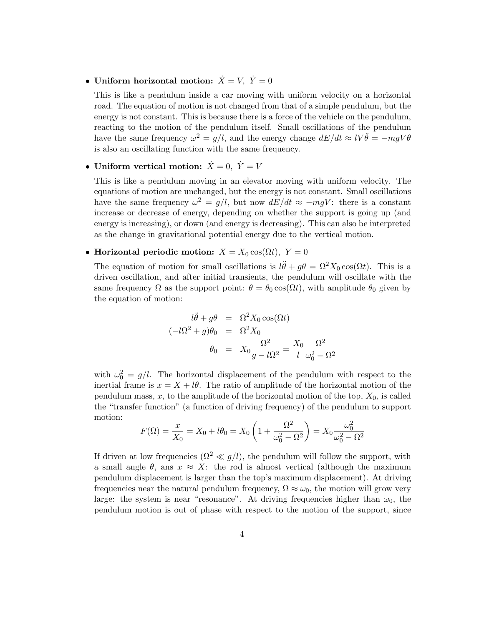## • Uniform horizontal motion:  $\dot{X} = V$ ,  $\dot{Y} = 0$

This is like a pendulum inside a car moving with uniform velocity on a horizontal road. The equation of motion is not changed from that of a simple pendulum, but the energy is not constant. This is because there is a force of the vehicle on the pendulum, reacting to the motion of the pendulum itself. Small oscillations of the pendulum have the same frequency  $\omega^2 = g/l$ , and the energy change  $dE/dt \approx lV\ddot{\theta} = -mgV\theta$ is also an oscillating function with the same frequency.

• Uniform vertical motion:  $\dot{X} = 0$ ,  $\dot{Y} = V$ 

This is like a pendulum moving in an elevator moving with uniform velocity. The equations of motion are unchanged, but the energy is not constant. Small oscillations have the same frequency  $\omega^2 = g/l$ , but now  $dE/dt \approx -mgV$ : there is a constant increase or decrease of energy, depending on whether the support is going up (and energy is increasing), or down (and energy is decreasing). This can also be interpreted as the change in gravitational potential energy due to the vertical motion.

• Horizontal periodic motion:  $X = X_0 \cos(\Omega t)$ ,  $Y = 0$ 

The equation of motion for small oscillations is  $l\ddot{\theta} + g\theta = \Omega^2 X_0 \cos(\Omega t)$ . This is a driven oscillation, and after initial transients, the pendulum will oscillate with the same frequency  $\Omega$  as the support point:  $\theta = \theta_0 \cos(\Omega t)$ , with amplitude  $\theta_0$  given by the equation of motion:

$$
l\ddot{\theta} + g\theta = \Omega^2 X_0 \cos(\Omega t)
$$
  

$$
(-l\Omega^2 + g)\theta_0 = \Omega^2 X_0
$$
  

$$
\theta_0 = X_0 \frac{\Omega^2}{g - l\Omega^2} = \frac{X_0}{l} \frac{\Omega^2}{\omega_0^2 - \Omega^2}
$$

with  $\omega_0^2 = g/l$ . The horizontal displacement of the pendulum with respect to the inertial frame is  $x = X + l\theta$ . The ratio of amplitude of the horizontal motion of the pendulum mass,  $x$ , to the amplitude of the horizontal motion of the top,  $X_0$ , is called the "transfer function" (a function of driving frequency) of the pendulum to support motion:

$$
F(\Omega) = \frac{x}{X_0} = X_0 + l\theta_0 = X_0 \left( 1 + \frac{\Omega^2}{\omega_0^2 - \Omega^2} \right) = X_0 \frac{\omega_0^2}{\omega_0^2 - \Omega^2}
$$

If driven at low frequencies  $(\Omega^2 \ll g/l)$ , the pendulum will follow the support, with a small angle  $\theta$ , ans  $x \approx X$ : the rod is almost vertical (although the maximum pendulum displacement is larger than the top's maximum displacement). At driving frequencies near the natural pendulum frequency,  $\Omega \approx \omega_0$ , the motion will grow very large: the system is near "resonance". At driving frequencies higher than  $\omega_0$ , the pendulum motion is out of phase with respect to the motion of the support, since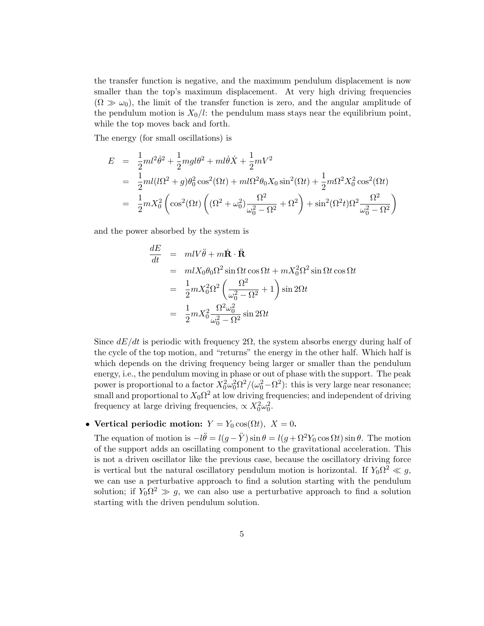the transfer function is negative, and the maximum pendulum displacement is now smaller than the top's maximum displacement. At very high driving frequencies  $(\Omega \gg \omega_0)$ , the limit of the transfer function is zero, and the angular amplitude of the pendulum motion is  $X_0/l$ : the pendulum mass stays near the equilibrium point, while the top moves back and forth.

The energy (for small oscillations) is

$$
E = \frac{1}{2}ml^2\dot{\theta}^2 + \frac{1}{2}mgl\theta^2 + ml\dot{\theta}\dot{X} + \frac{1}{2}mV^2
$$
  
= 
$$
\frac{1}{2}ml(l\Omega^2 + g)\theta_0^2\cos^2(\Omega t) + ml\Omega^2\theta_0X_0\sin^2(\Omega t) + \frac{1}{2}m\Omega^2X_0^2\cos^2(\Omega t)
$$
  
= 
$$
\frac{1}{2}mX_0^2\left(\cos^2(\Omega t)\left((\Omega^2 + \omega_0^2)\frac{\Omega^2}{\omega_0^2 - \Omega^2} + \Omega^2\right) + \sin^2(\Omega^2 t)\Omega^2\frac{\Omega^2}{\omega_0^2 - \Omega^2}\right)
$$

and the power absorbed by the system is

$$
\frac{dE}{dt} = mlV\ddot{\theta} + m\dot{\mathbf{R}} \cdot \ddot{\mathbf{R}}
$$
\n
$$
= mlX_0\theta_0\Omega^2 \sin{\Omega t} \cos{\Omega t} + mX_0^2\Omega^2 \sin{\Omega t} \cos{\Omega t}
$$
\n
$$
= \frac{1}{2}mX_0^2\Omega^2 \left(\frac{\Omega^2}{\omega_0^2 - \Omega^2} + 1\right) \sin{2\Omega t}
$$
\n
$$
= \frac{1}{2}mX_0^2\frac{\Omega^2\omega_0^2}{\omega_0^2 - \Omega^2} \sin{2\Omega t}
$$

Since  $dE/dt$  is periodic with frequency  $2\Omega$ , the system absorbs energy during half of the cycle of the top motion, and "returns" the energy in the other half. Which half is which depends on the driving frequency being larger or smaller than the pendulum energy, i.e., the pendulum moving in phase or out of phase with the support. The peak power is proportional to a factor  $X_0^2 \omega_0^2 \Omega^2/(\omega_0^2 - \Omega^2)$ : this is very large near resonance; small and proportional to  $X_0\Omega^2$  at low driving frequencies; and independent of driving frequency at large driving frequencies,  $\propto X_0^2 \omega_0^2$ .

### • Vertical periodic motion:  $Y = Y_0 \cos(\Omega t)$ ,  $X = 0$ .

The equation of motion is  $-l\ddot{\theta} = l(g-\ddot{Y}) \sin \theta = l(g + \Omega^2 Y_0 \cos \Omega t) \sin \theta$ . The motion of the support adds an oscillating component to the gravitational acceleration. This is not a driven oscillator like the previous case, because the oscillatory driving force is vertical but the natural oscillatory pendulum motion is horizontal. If  $Y_0 \Omega^2 \ll g$ , we can use a perturbative approach to find a solution starting with the pendulum solution; if  $Y_0 \Omega^2 \gg g$ , we can also use a perturbative approach to find a solution starting with the driven pendulum solution.